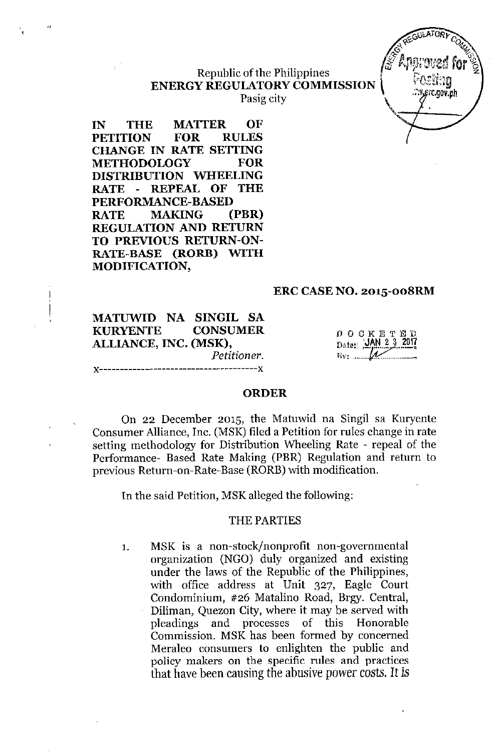## Republic of the Philippines ENERGY REGULATORYCOMMISSION \ ' *(\:,""g* Pasig city

IN THE MATTER OF PETITION FOR RULES CHANGE IN RATE SETTING METHODOLOGY FOR DISTRIBUTION WHEELING RATE - REPEAL OF THE PERFORMANCE-BASED RATE MAKING (PBR) REGULATION AND RETURN TO PREVIOUS RETURN-ON-RATE-BASE (RORE) WITH MODIFICATION,

 $"$ 

## ERC CASENO. 2015-oo8RM

MATUWlD NA SINGIL SA KURYENTE CONSUMER ALLIANCE, INC. (MSK), *Petitioner.* .......-------**x** 

 $D$  O  $C$  K E T E  $D$ Date: JAN 23  $Bv:$  ......

 $GWATOR$  $\mathcal{A}_{\mathcal{A}}$   $\mathcal{A}_{\mathcal{A}}$ **OF REGULATORY COMMUNIST** 

### ORDER

On 22 December 2015, the Matuwid na Singil sa Kuryente Consumer Alliance, Inc. (MSK) filed a Petition for rules change in rate setting methodology for Distribution Wheeling Rate - repeal of the Performance- Based Rate Making (PBR) Regulation and return to previous Return-on-Rate-Base (RORB) with modification.

In the said Petition, MSKalleged the following:

### THE PARTIES

1. MSK is a non-stock/nonprofit non-governmental organization (NGO) duly organized and existing under the laws of the Republic of the Philippines, with office address at Unit 327, Eagle Court Condominium, #26 Matalino Road, Ergy. Central, Diliman, Quezon City, where it may be served with pleadings and processes of this Honorable Commission. MSK has been formed by concerned Meraleo consumers to enlighten the public and policy makers on the specific rules and practices that have been causing the abusive power costs. It is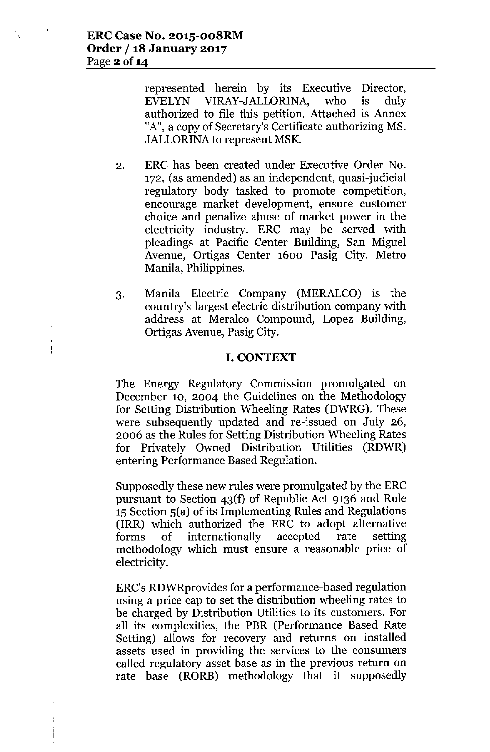$\frac{1}{2}$ 

j

represented herein by its Executive Director, EVELYN VIRAY-JALLORINA, who is duly authorized to file this petition. Attached is Annex "A", a copy of Secretary's Certificate authorizing MS. JALLORINA to represent MSK.

- 2. ERC has been created under Executive Order No. 172, (as amended) as an independent, quasi-judicial regulatory body tasked to promote competition, encourage market development, ensure customer choice and penalize abuse of market power in the electricity industry. ERC may be served with pleadings at Pacific Center Building, San Miguel Avenue, Ortigas Center 1600 Pasig City, Metro Manila, Philippines.
- 3. Manila Electric Company (MERALCO) is the country's largest electric distribution company with address at Meralco Compound, Lopez Building, Ortigas Avenue, Pasig City.

# I. CONTEXT

The Energy Regulatory Commission promulgated on December 10, 2004 the Guidelines on the Methodology for Setting Distribution Wheeling Rates (DWRG). These were subsequently updated and re-issued on July 26, 2006 as the Rules for Setting Distribution Wheeling Rates for Privately Owned Distribution Utilities (RDWR) entering Performance Based Regulation.

Supposedly these new rules were promulgated by the ERC pursuant to Section 43(f) of Republic Act 9136 and Rule 15Section 5(a) of its Implementing Rules and Regulations (IRR) which authorized the ERC to adopt alternative forms of internationally accepted rate setting methodology which must ensure a reasonable price of electricity.

ERC's RDWRprovides for a performance-based regulation using a price cap to set the distribution wheeling rates to be charged by Distribution Utilities to its customers. For all its complexities, the PBR (Performance Based Rate Setting) allows for recovery and returns on installed assets used in providing the services to the consumers called regulatory asset base as in the previous return on rate base (RORB) methodology that it supposedly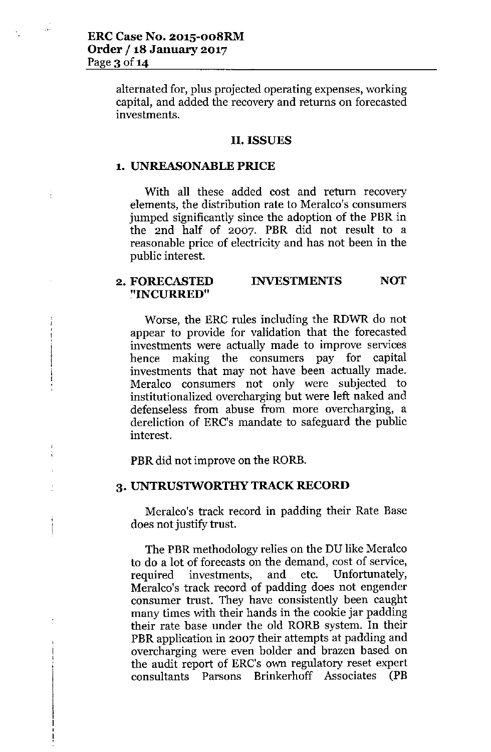$\Delta$ 

ţ

alternated for, plus projected operating expenses, working capital, and added the recovery and returns on forecasted investments.

### **II. ISSUES**

### **1. UNREASONABLE PRICE**

With all these added cost and return recovery elements, the distribution rate to Meralco's consumers jumped significantly since the adoption of the PBR in the 2nd half of 2007. PBR did not result to a reasonable price of electricity and has not been in the public interest.

#### **2. FORECASTED "INCURRED" INVESTMENTS NOT**

Worse, the ERC rules including the RDWR do not appear to provide for validation that the forecasted investments were actually made to improve services hence making the consumers pay for capital investments that may not have been actually made. Meralco consumers not only were subjected to institutionalized overcharging but were left naked and defenseless from abuse from more overcharging, a dereliction of ERC's mandate to safeguard the public interest.

PBR did not improve on the RORB.

#### **3. UNTRUS'IWORTHY TRACK RECORD**

Meralco's track record in padding their Rate Base does not justify trust.

The PBR methodology relies on the DU like Meralco to do a lot of forecasts on the demand, cost of service, required investments, and etc. Unfortunately, Meralco's track record of padding does not engender consumer trust. They have consistently been caught many times with their hands in the cookie jar padding their rate base under the old RORE system. In their PBR application in 2007 their attempts at padding and overcharging were even bolder and brazen based on the audit report of ERC's own regulatory reset expert consultants Parsons Brinkerhoff Associates (PB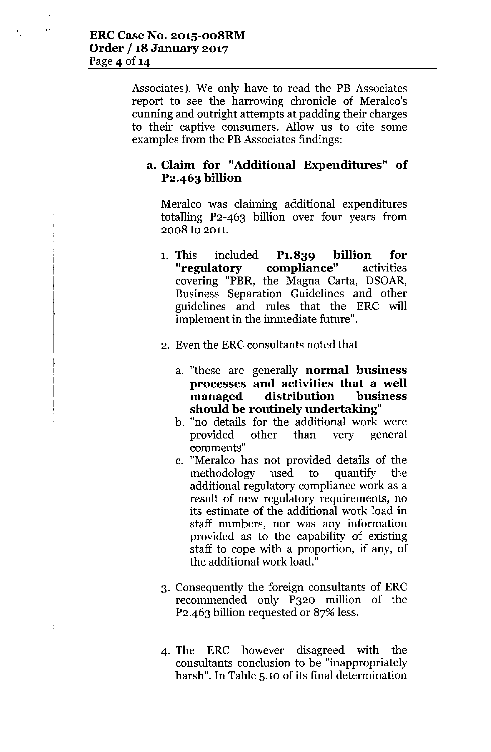$\ddot{\phantom{a}}$ 

ŀ

Associates). We only have to read the PB Associates report to see the harrowing chronicle of Meralco's cunning and outright attempts at padding their charges to their captive consumers. Allow us to cite some examples from the PBAssociates findings:

# **a. Claim for "Additional Expenditures" of P2.463 billion**

Meralco was claiming additional expenditures totalling P2-463 billion over four years from 2008 to 2011.

- 1. This included **P1.839 billion for compliance"** activities covering "PBR, the Magna Carta, DSOAR, Business Separation Guidelines and other guidelines and rules that the ERC will implement in the immediate future".
- 2. Even the ERC consultants noted that
	- a. "these are generally **normal business processes and activities that a well managed distribution business should be routinely undertaking"**
	- b. "no details for the additional work were provided other than very general **comments"**
	- c. "Meralco has not provided details of the methodology used to quantify the additional regulatory compliance work as a result of new regulatory requirements, no its estimate of the additional work load in staff numbers, nor was any information provided as to the capability of existing staff to cope with a proportion, if any, of the additional work load."
- 3. Consequently the foreign consultants of ERC recommended only P320 million of the P2-463 billion requested or 87% less.
- 4. The ERC however disagreed with the consultants conclusion to be "inappropriately harsh". **In** Table 5.10 of its final determination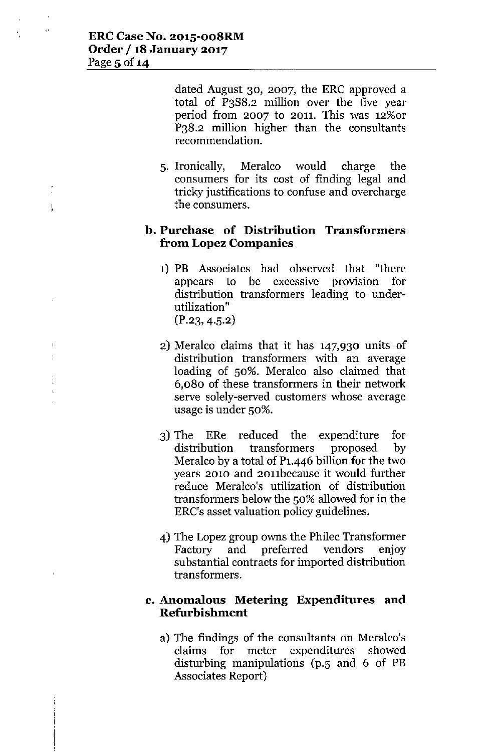$\downarrow$ 

dated August 30, 2007, the ERC approved a total of P3S8.2 million over the five year period from 2007 to 2011. This was 12%or P38.2 million higher than the consultants recommendation.

5. Ironically, Meralco would charge the consumers for its cost of finding legal and tricky justifications to confuse and overcharge the consumers.

# **b. Purchase of Distribution Transformers from Lopez Companies**

- 1) PB Associates had observed that "there appears to be excessive provision for distribution transformers leading to underutilization"  $(P.23, 4.5.2)$
- 2) Meralco claims that it has 147,930 units of distribution transformers with an average loading of 50%. Meralco also claimed that 6,080 of these transformers in their network serve solely-served customers whose average usage is under 50%.
- 3) The ERe reduced the expenditure for distribution transformers proposed by Meralco by a total of P1.446 billion for the two years 2010 and 20nbecause it would further reduce Meralco's utilization of distribution transformers below the 50% allowed for in the ERC's asset valuation policy guidelines.
- 4) The Lopez group owns the Philec Transformer Factory and preferred vendors enjoy substantial contracts for imported distribution transformers.

# **c. Anomalous Metering Expenditures and Refurbishment**

a) The findings of the consultants on Meralco's claims for meter expenditures showed disturbing manipulations (p.5 and 6 of PB Associates Report)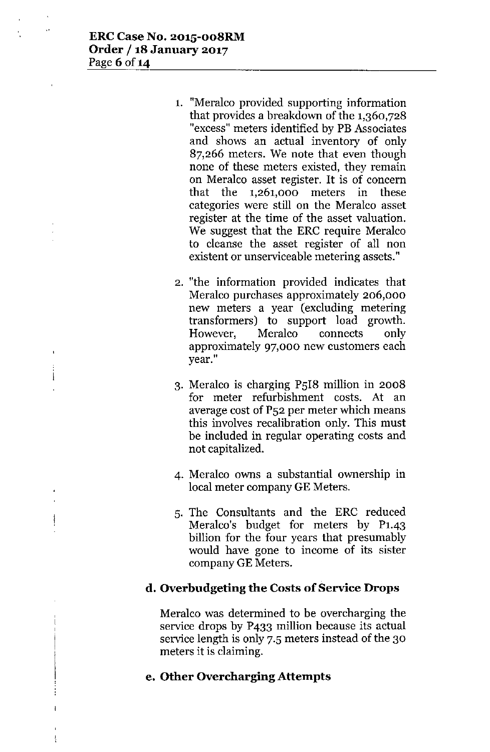- 1. "Meralco provided supporting information that provides a breakdown of the  $1,360,728$ "excess" meters identified by PB Associates and shows an actual inventory of only 87,266 meters. We note that even though none of these meters existed, they remain on Meralco asset register. It is of concern that the 1,261,000 meters in these categories were still on the Meralco asset register at the time of the asset valuation. We suggest that the ERC require Meralco to cleanse the asset register of all non existent or unserviceable metering assets."
- 2. "the information provided indicates that Meralco purchases approximately 206,000 new meters a year (excluding metering transformers) to support load growth. However, Meralco connects only approximately 97,000 new customers each **year."**
- 3. Meralco is charging PSI8 million in 2008 for meter refurbishment costs. At an average cost of PS2 per meter which means this involves recalibration only. This must be included in regular operating costs and not capitalized.
- 4. Meralco owns a substantial ownership in local meter company GE Meters.
- S. The Consultants and the ERC reduced Meralco's budget for meters by P1.43 billion for the four years that presumably would have gone to income of its sister company GE Meters.

# d. Overbudgeting the Costs of Service Drops

Meralco was determined to be overcharging the service drops by P433 million because its actual service length is only 7.S meters instead of the 30 meters it is claiming.

# e. Other Overcharging Attempts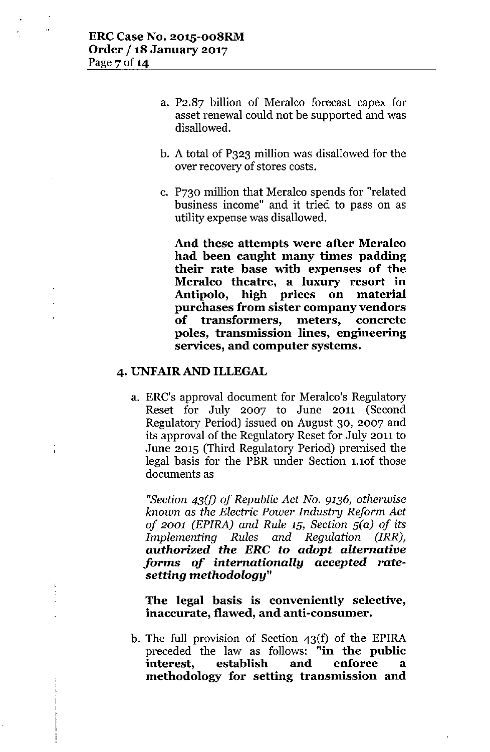- a. P2.87 billion of Meraleo forecast capex for asset renewal could not be supported and was disallowed.
- b. A total of P323 million was disallowed for the over recovery of stores costs.
- c. P730 million that Meralco spends for "related business income" and it tried to pass on as utility expensewas disallowed.

And these attempts were after Meralco had been caught many times padding their rate base with expenses of the Meralco theatre, a luxury resort in Antipolo, high prices on material purchases from sister company vendors of transformers, meters, concrete poles, transmission lines, engineering services, and computer systems.

# 4. UNFAIR AND ILLEGAL

a. ERC's approval document for Meralco's Regulatory Reset for July 2007 to June 2011 (Second Regulatory Period) issued on August 30, 2007 and its approval of the Regulatory Reset for July 2011 to June 2015 (Third Regulatory Period) premised the legal basis for the PBR under Section 1.10f those documents as

*"Section 43(f) of Republic Act No.* 9136, *otherwise known* as *the Electric Power Industry Reform Act*  $of$  *2001 (EPIRA)* and *Rule*  $15$ *, Section*  $5(a)$  *of its Implementing Rules and Regulation (IRR),*  $a$ *uthorized the ERC* to *adopt alternative forms of internationally accepted ratesetting methodology"*

The legal basis is conveniently selective, inaccurate, flawed, and anti-consumer.

b. The full provision of Section 43(f) of the EPlRA preceded the law as follows: "in the public interest, establish and enforce a methodology for setting transmission and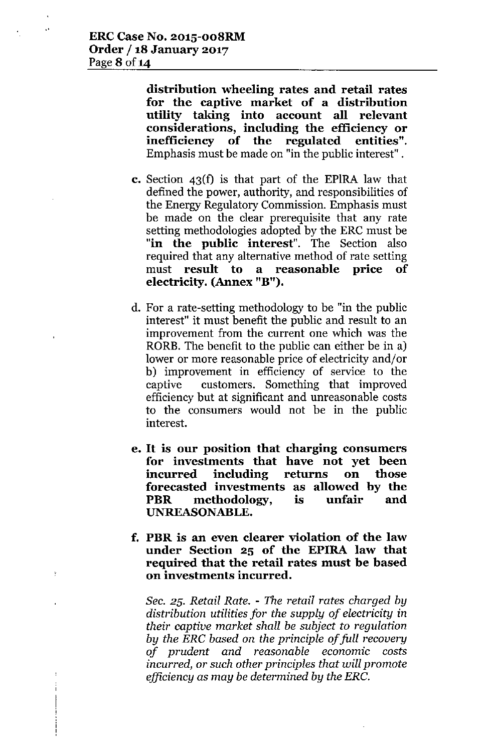.'

 $\mathbf{F}$ 

**distribution wheeling rates and retail rates for the captive market of a distribution utility taking into account all relevant considerations, including the efficiency or inefficiency of the regulated entities".** Emphasis must be made on "in the public interest" .

- **c.** Section 43(f) is that part of the EPlRA law that defined the power, authority, and responsibilities of the Energy Regulatory Commission. Emphasis must be made on the clear prerequisite that any rate setting methodologies adopted by the ERC must be **"in the public interest".** The Section also required that any alternative method of rate setting must **result to a reasonable price of electricity. (Annex "B").**
- d. For a rate-setting methodology to be "in the public interest" it must benefit the public and result to an improvement from the current one which was the RORE. The benefit to the public can either be in a) lower or more reasonable price of electricity and/or b) improvement in efficiency of service to the captive customers. Something that improved efficiency but at significant and unreasonable costs to the consumers would not be in the public interest.
- **e. It is our position that charging consumers for investments that have not yet been incurred including returns on those forecasted investments as allowed by the PBR methodology, is unfair and UNREASONABLE.**
- **f. PBR is an even clearer violation of the law under Section 25 of the EPIRA law that required that the retail rates must be based on investments incurred.**

Sec. 25. *Retail Rate. - The retail rates charged by distribution utilities for the supply of electricity* in *their captive market shall be subject to regulation by the ERG based* on *the principle of full recovery of prudent and reasonable* economic *costs incurred, or such other principles that will promote efficiency* as *may be determined by the ERG.*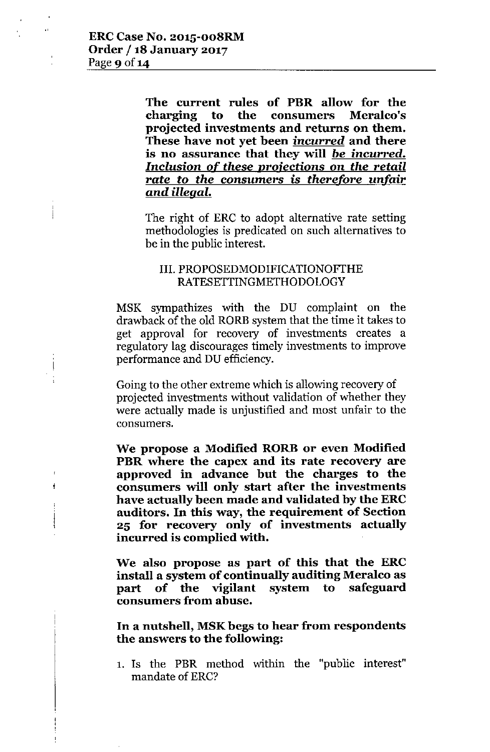$\frac{1}{4}$ 

The current rules of PBR allow for the charging to the consumers Meralco's projected investments and returns on them. These have not yet been *incurred* and there is no assurance that they will *be incurred. Inclusion* of these *projections* on *the retail rate* to *the* consumers is *therefore unfair and illegal.*

The right of ERC to adopt alternative rate setting methodologies is predicated on such alternatives to be in the public interest.

# III. PROPOSEDMODIFICATIONOFTHE RATESETTINGMETHODOLOGY

MSK sympathizes with the DU complaint on the drawback of the old RORE system that the time it takes to get approval for recovery of investments creates a regulatory lag discourages timely investments to improve performance and DU efficiency.

Going to the other extreme which is allowing recovery of projected investments without validation of whether they were actually made is unjustified and most unfair to the **consumers.**

We propose a Modified RORB or even Modified PBR where the capex and its rate recovery are approved in advance but the charges to the consumers will only start after the investments have actually been made and validated by the ERC auditors. In this way, the requirement of Section 25 for recovery only of investments actually incurred is complied with.

We also propose as part of this that the ERC install a system of continually auditing Meralco as part of the vigilant system to safeguard consumers from abuse.

In a nutshell, MSK begs to hear from respondents the answers to the following:

1. Is the PBR method within the "public interest" mandate of ERC?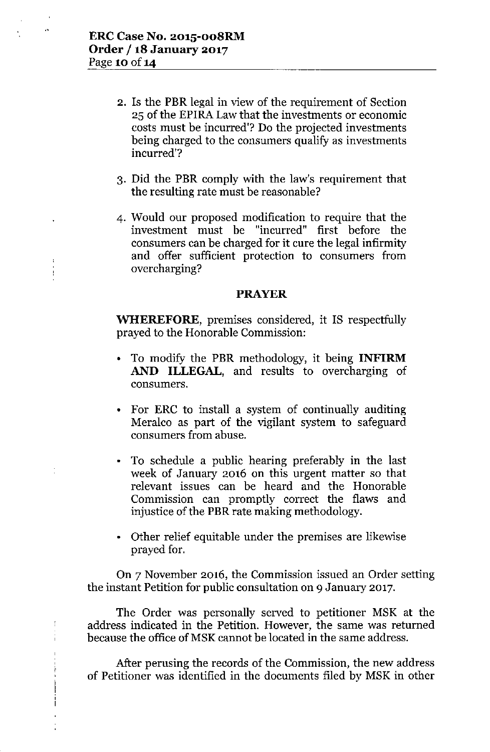- 2. Is the **PBR** legal in view of the requirement of Section 25 of the EPIRA Law that the investments or economic costs must be incurred'? Do the projected investments being charged to the consumers qualify as investments incurred'?
- 3. Did the **PBR** comply with the law's requirement that the resulting rate must be reasonable?
- 4. Would our proposed modification to require that the investment must be "incurred" first before the consumers can be charged for it cure the legal infirmity and offer sufficient protection to consumers from overcharging?

### **PRAYER**

**WHEREFORE,** premises considered, it IS respectfully prayed to the Honorable Commission:

- To modify the **PBR** methodology, it being **INFIRM AND ILLEGAL,** and results to overcharging of consumers.
- For ERC to install a system of continually auditing Meralco as part of the vigilant system to safeguard consumers from abuse.
- To schedule a public hearing preferably in the last week of January 2016 on this urgent matter so that relevant issues can be heard and the Honorable Commission can promptly correct the flaws and injustice of the **PBR** rate making methodology.
- Other relief equitable under the premises are likewise prayed for.

**On** 7 November 2016, the Commission issued an Order setting the instant Petition for public consultation on 9 January 2017.

The Order was personally served to petitioner MSK at the address indicated in the Petition. However, the same was returned because the office of MSK cannot be located in the same address.

Ť

After perusing the records of the Commission, the new address of Petitioner was identified in the documents filed by MSK in other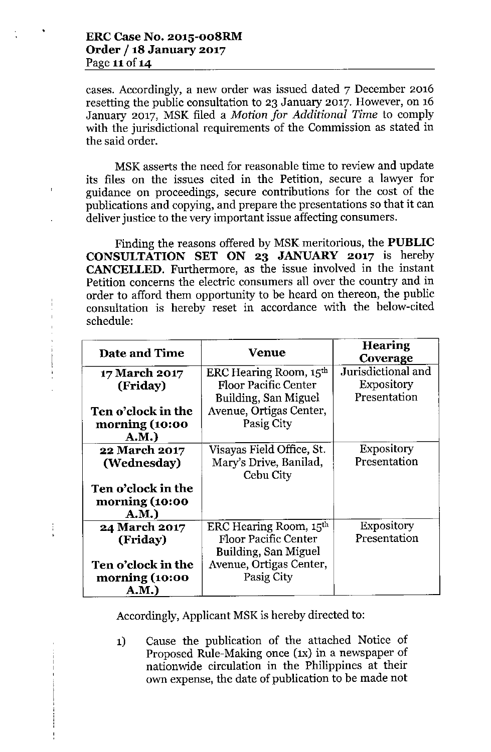cases. Accordingly, a new order was issued dated 7 December 2016 resetting the public consultation to 23 January 2017. However, on 16 January 2017, MSK filed a *Motion for Additional Time* to comply with the jurisdictional requirements of the Commission as stated in the said order.

MSK asserts the need for reasonable time to review and update its files on the issues cited in the Petition, secure a lawyer for guidance on proceedings, secure contributions for the cost of the publications and copying, and prepare the presentations so that it can deliver justice to the very important issue affecting consumers.

Finding the reasons offered by MSK meritorious, the **PUBLIC CONSULTATION SET ON 23 JANUARY 2017** is hereby **CANCELLED.** Furthermore, as the issue involved in the instant Petition concerns the electric consumers all over the country and in order to afford them opportunity to be heard on thereon, the public consultation is hereby reset in accordance with the below-cited schedule:

| Date and Time        | <b>Venue</b>                       | <b>Hearing</b><br>Coverage |
|----------------------|------------------------------------|----------------------------|
| 17 March 2017        | ERC Hearing Room, 15th             | Jurisdictional and         |
| (Friday)             | <b>Floor Pacific Center</b>        | Expository                 |
|                      | Building, San Miguel               | Presentation               |
| Ten o'clock in the   | Avenue, Ortigas Center,            |                            |
| morning (10:00       | Pasig City                         |                            |
| A.M.)                |                                    |                            |
| 22 March 2017        | Visayas Field Office, St.          | <b>Expository</b>          |
| (Wednesday)          | Mary's Drive, Banilad,             | Presentation               |
|                      | Cebu City                          |                            |
| Ten o'clock in the   |                                    |                            |
| morning (10:00       |                                    |                            |
| A.M.)                |                                    |                            |
| <b>24 March 2017</b> | ERC Hearing Room, 15 <sup>th</sup> | <b>Expository</b>          |
| (Friday)             | <b>Floor Pacific Center</b>        | Presentation               |
|                      | Building, San Miguel               |                            |
| Ten o'clock in the   | Avenue, Ortigas Center,            |                            |
| morning (10:00       | Pasig City                         |                            |
| A.M.)                |                                    |                            |

Accordingly, Applicant MSK is hereby directed to:

**1)** Cause the publication of the attached Notice of Proposed Rule-Making once (IX) in a newspaper of nationwide circulation in the Philippines at their own expense, the date of publication to be made not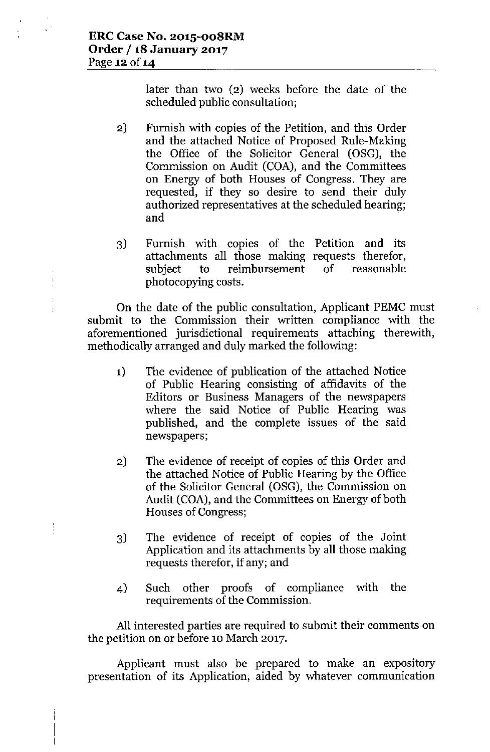ł

later than two (2) weeks before the date of the scheduled public consultation;

- 2) Furnish with copies of the Petition, and this Order and the attached Notice of Proposed Rule-Making the Office of the Solicitor General (OSG), the Commission on Audit (COA), and the Committees on Energy of both Houses of Congress. They are requested, if they so desire to send their duly authorized representatives at the scheduled hearing; and  $\overline{\phantom{a}}$  . The set of  $\overline{\phantom{a}}$  and  $\overline{\phantom{a}}$  .
- Furnish with copies of the Petition and its 3) attachments all those making requests therefor subject to reimbursement of reasonable photocopying costs.

On the date of the public consultation, Applicant PEMC must submit to the Commission their written compliance with the aforementioned jurisdictional requirements attaching therewith, methodically arranged and duly marked the following:

- 1) The evidence of publication of the attached Notice of Public Hearing consisting of affidavits of the Editors or Business Managers of the newspapers where the said Notice of Public Hearing was published, and the complete issues of the said newspapers;
- 2) The evidence of receipt of copies of this Order and the attached Notice of Public Hearing by the Office of the Solicitor General (OSG), the Commission on Audit (COA), and the Committees on Energy of both Houses of Congress;
- 3) The evidence of receipt of copies of the Joint Application and its attachments by all those making requests therefor, if any; and
- 4) Such other proofs of compliance with the requirements of the Commission.

All interested parties are required to submit their comments on the petition on or before 10 March 2017.

Applicant must also be prepared to make an expository presentation of its Application, aided by whatever communication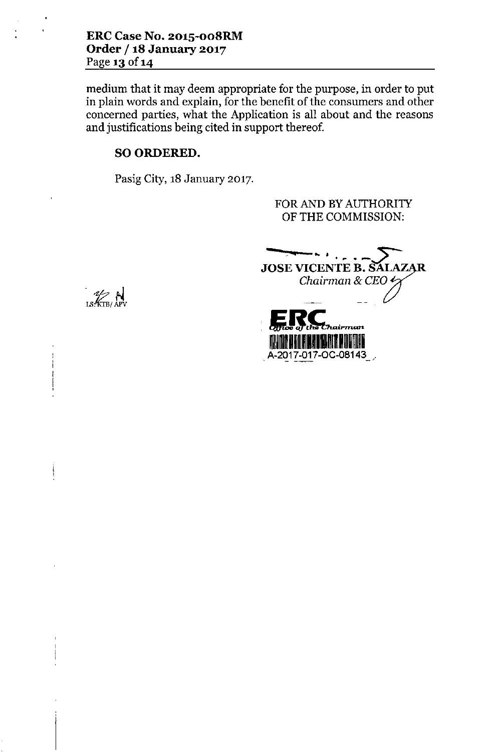medium that it may deem appropriate for the purpose, in order to put in plain words and explain, for the benefit of the consumers and other concerned parties, what the Application is all about and the reasons and justifications being cited in support thereof.

# SO ORDERED.

Pasig City, 18 January 2017.

FOR AND BY AUTHORITY OF THE COMMISSION:

JOSE VICENTE B. SALAZAR *Chairman* & *CEO* .- --  $\sum_{\text{of the } \text{the } \text{the } \text{minimum}}$ IMLA III LI BA HITI RI HAAR III DAA LA VIII PA LA HILLE H A-2017-017-0C-08143

*. N* LS: KTB/ A